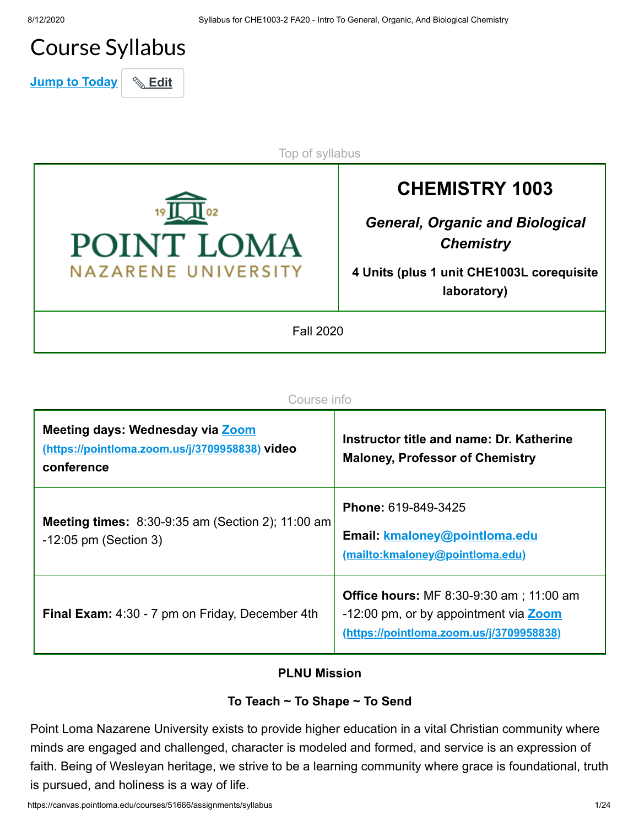## Course Syllabus

**Jump to Today & Edit** 

POINT LOMA **NAZARENE UNIVERSITY** 

**CHEMISTRY 1003**

*General, Organic and Biological Chemistry*

**4 Units (plus 1 unit CHE1003L corequisite laboratory)**

Fall 2020

Top of syllabus

| - 7<br>DUE: | . |
|-------------|---|
|             |   |

| Meeting days: Wednesday via Zoom<br>(https://pointloma.zoom.us/j/3709958838) video<br>conference | Instructor title and name: Dr. Katherine<br><b>Maloney, Professor of Chemistry</b>                                                   |
|--------------------------------------------------------------------------------------------------|--------------------------------------------------------------------------------------------------------------------------------------|
| <b>Meeting times:</b> 8:30-9:35 am (Section 2); 11:00 am<br>$-12:05$ pm (Section 3)              | <b>Phone: 619-849-3425</b><br>Email: kmaloney@pointloma.edu<br>(mailto:kmaloney@pointloma.edu)                                       |
| Final Exam: 4:30 - 7 pm on Friday, December 4th                                                  | <b>Office hours:</b> MF 8:30-9:30 am ; 11:00 am<br>-12:00 pm, or by appointment via Zoom<br>(https://pointloma.zoom.us/j/3709958838) |

#### **PLNU Mission**

### **To Teach ~ To Shape ~ To Send**

Point Loma Nazarene University exists to provide higher education in a vital Christian community where minds are engaged and challenged, character is modeled and formed, and service is an expression of faith. Being of Wesleyan heritage, we strive to be a learning community where grace is foundational, truth is pursued, and holiness is a way of life.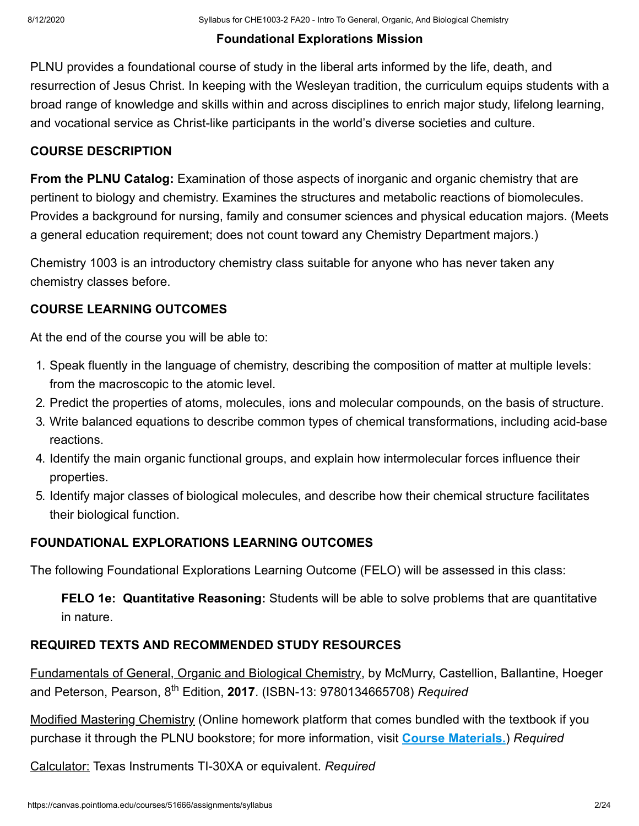## **Foundational Explorations Mission**

PLNU provides a foundational course of study in the liberal arts informed by the life, death, and resurrection of Jesus Christ. In keeping with the Wesleyan tradition, the curriculum equips students with a broad range of knowledge and skills within and across disciplines to enrich major study, lifelong learning, and vocational service as Christ-like participants in the world's diverse societies and culture.

## **COURSE DESCRIPTION**

**From the PLNU Catalog:** Examination of those aspects of inorganic and organic chemistry that are pertinent to biology and chemistry. Examines the structures and metabolic reactions of biomolecules. Provides a background for nursing, family and consumer sciences and physical education majors. (Meets a general education requirement; does not count toward any Chemistry Department majors.)

Chemistry 1003 is an introductory chemistry class suitable for anyone who has never taken any chemistry classes before.

## **COURSE LEARNING OUTCOMES**

At the end of the course you will be able to:

- 1. Speak fluently in the language of chemistry, describing the composition of matter at multiple levels: from the macroscopic to the atomic level.
- 2. Predict the properties of atoms, molecules, ions and molecular compounds, on the basis of structure.
- 3. Write balanced equations to describe common types of chemical transformations, including acid-base reactions.
- 4. Identify the main organic functional groups, and explain how intermolecular forces influence their properties.
- 5. Identify major classes of biological molecules, and describe how their chemical structure facilitates their biological function.

## **FOUNDATIONAL EXPLORATIONS LEARNING OUTCOMES**

The following Foundational Explorations Learning Outcome (FELO) will be assessed in this class:

**FELO 1e: Quantitative Reasoning:** Students will be able to solve problems that are quantitative in nature.

## **REQUIRED TEXTS AND RECOMMENDED STUDY RESOURCES**

Fundamentals of General, Organic and Biological Chemistry, by McMurry, Castellion, Ballantine, Hoeger and Peterson, Pearson, 8<sup>th</sup> Edition, **2017**. (ISBN-13: 9780134665708) *Required* 

Modified Mastering Chemistry (Online homework platform that comes bundled with the textbook if you purchase it through the PLNU bookstore; for more information, visit **[Course Materials.](https://canvas.pointloma.edu/courses/51666/pages/course-materials)**) *Required*

Calculator: Texas Instruments TI-30XA or equivalent. *Required*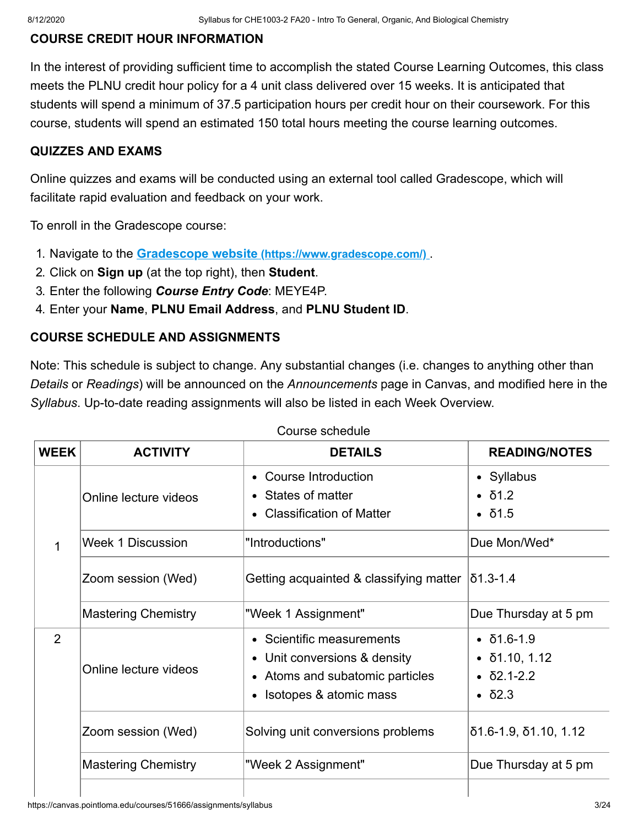#### **COURSE CREDIT HOUR INFORMATION**

In the interest of providing sufficient time to accomplish the stated Course Learning Outcomes, this class meets the PLNU credit hour policy for a 4 unit class delivered over 15 weeks. It is anticipated that students will spend a minimum of 37.5 participation hours per credit hour on their coursework. For this course, students will spend an estimated 150 total hours meeting the course learning outcomes.

#### **QUIZZES AND EXAMS**

Online quizzes and exams will be conducted using an external tool called Gradescope, which will facilitate rapid evaluation and feedback on your work.

To enroll in the Gradescope course:

- 1. Navigate to the **Gradescope website [\(https://www.gradescope.com/\)](https://www.gradescope.com/)** .
- 2. Click on **Sign up** (at the top right), then **Student**.
- 3. Enter the following *Course Entry Code*: MEYE4P.
- 4. Enter your **Name**, **PLNU Email Address**, and **PLNU Student ID**.

#### **COURSE SCHEDULE AND ASSIGNMENTS**

Note: This schedule is subject to change. Any substantial changes (i.e. changes to anything other than *Details* or *Readings*) will be announced on the *Announcements* page in Canvas, and modified here in the *Syllabus*. Up-to-date reading assignments will also be listed in each Week Overview.

| <b>WEEK</b>    | <b>ACTIVITY</b>            | <b>DETAILS</b>                                                                                                         | <b>READING/NOTES</b>                                                                                            |
|----------------|----------------------------|------------------------------------------------------------------------------------------------------------------------|-----------------------------------------------------------------------------------------------------------------|
|                | Online lecture videos      | • Course Introduction<br>• States of matter<br><b>Classification of Matter</b>                                         | • Syllabus<br>$\bullet$ $\delta$ 1.2<br>$\cdot$ $\delta$ 1.5                                                    |
| 1              | <b>Week 1 Discussion</b>   | "Introductions"                                                                                                        | Due Mon/Wed*                                                                                                    |
|                | Zoom session (Wed)         | Getting acquainted & classifying matter                                                                                | $ \mathbf{0}1.3$ -1.4                                                                                           |
|                | <b>Mastering Chemistry</b> | "Week 1 Assignment"                                                                                                    | Due Thursday at 5 pm                                                                                            |
| $\overline{2}$ | Online lecture videos      | • Scientific measurements<br>• Unit conversions & density<br>• Atoms and subatomic particles<br>Isotopes & atomic mass | $\cdot$ $\delta$ 1.6-1.9<br>$\bullet$ $\delta$ 1.10, 1.12<br>$\cdot$ $\delta$ 2.1-2.2<br>$\bullet$ $\delta$ 2.3 |
|                | Zoom session (Wed)         | Solving unit conversions problems                                                                                      | $\delta$ 1.6-1.9, $\delta$ 1.10, 1.12                                                                           |
|                | <b>Mastering Chemistry</b> | "Week 2 Assignment"                                                                                                    | Due Thursday at 5 pm                                                                                            |
|                |                            |                                                                                                                        |                                                                                                                 |

Course schedule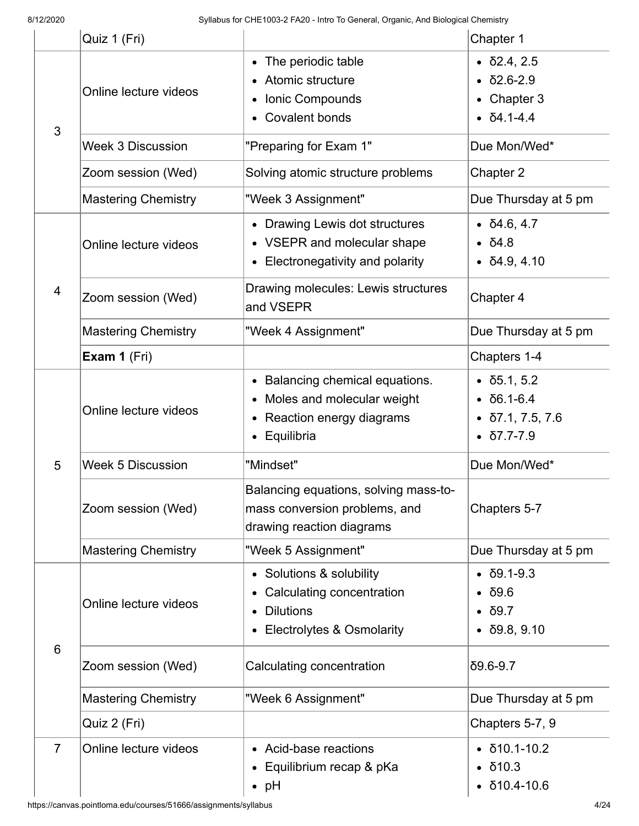|                 | Quiz 1 (Fri)                                                                                                |                                                                                                                   | Chapter 1                                                                                                                 |  |
|-----------------|-------------------------------------------------------------------------------------------------------------|-------------------------------------------------------------------------------------------------------------------|---------------------------------------------------------------------------------------------------------------------------|--|
| 3               | The periodic table<br>Atomic structure<br>Online lecture videos<br>Ionic Compounds<br><b>Covalent bonds</b> |                                                                                                                   | $\bullet$ $\delta$ 2.4, 2.5<br>$\bullet$ $\delta$ 2.6-2.9<br>• Chapter 3<br>$\bullet$ $\delta$ 4.1-4.4                    |  |
|                 | <b>Week 3 Discussion</b>                                                                                    | "Preparing for Exam 1"                                                                                            | Due Mon/Wed*                                                                                                              |  |
|                 | Zoom session (Wed)                                                                                          | Solving atomic structure problems                                                                                 | Chapter 2                                                                                                                 |  |
|                 | <b>Mastering Chemistry</b>                                                                                  | "Week 3 Assignment"                                                                                               | Due Thursday at 5 pm                                                                                                      |  |
|                 | Online lecture videos                                                                                       | • Drawing Lewis dot structures<br>• VSEPR and molecular shape<br>Electronegativity and polarity                   | $\bullet$ $\delta$ 4.6, 4.7<br>• 54.8<br>$\bullet$ $\delta$ 4.9, 4.10                                                     |  |
| $\overline{4}$  | Zoom session (Wed)                                                                                          | Drawing molecules: Lewis structures<br>and VSEPR                                                                  | Chapter 4                                                                                                                 |  |
|                 | <b>Mastering Chemistry</b>                                                                                  | "Week 4 Assignment"                                                                                               | Due Thursday at 5 pm                                                                                                      |  |
|                 | Exam 1 (Fri)                                                                                                |                                                                                                                   | Chapters 1-4                                                                                                              |  |
|                 | Online lecture videos                                                                                       | Balancing chemical equations.<br>Moles and molecular weight<br>Reaction energy diagrams<br>Equilibria             | $\bullet$ $\delta$ 5.1, 5.2<br>$\cdot$ $\delta$ 6.1-6.4<br>$\bullet$ $\delta$ 7.1, 7.5, 7.6<br>$\bullet$ $\delta$ 7.7-7.9 |  |
| 5               | <b>Week 5 Discussion</b>                                                                                    | "Mindset"                                                                                                         | Due Mon/Wed*                                                                                                              |  |
|                 | Zoom session (Wed)                                                                                          | Balancing equations, solving mass-to-<br>mass conversion problems, and<br>drawing reaction diagrams               | Chapters 5-7                                                                                                              |  |
|                 | <b>Mastering Chemistry</b>                                                                                  | "Week 5 Assignment"                                                                                               | Due Thursday at 5 pm                                                                                                      |  |
| $6\phantom{1}6$ | Online lecture videos                                                                                       | • Solutions & solubility<br>Calculating concentration<br><b>Dilutions</b><br><b>Electrolytes &amp; Osmolarity</b> | $\bullet$ $\delta$ 9.1-9.3<br>$\cdot$ $\delta$ 9.6<br>$\bullet$ $\delta$ 9.7<br>$\bullet$ $\delta$ 9.8, 9.10              |  |
|                 | Zoom session (Wed)                                                                                          | Calculating concentration                                                                                         | $\delta$ 9.6-9.7                                                                                                          |  |
|                 | <b>Mastering Chemistry</b>                                                                                  | "Week 6 Assignment"                                                                                               | Due Thursday at 5 pm                                                                                                      |  |
|                 | Quiz 2 (Fri)                                                                                                |                                                                                                                   | Chapters 5-7, 9                                                                                                           |  |
| $\overline{7}$  | Online lecture videos                                                                                       | • Acid-base reactions<br>Equilibrium recap & pKa<br>$\bullet$ pH                                                  | $\bullet$ $\delta$ 10.1-10.2<br>$\bullet$ $\delta$ 10.3<br>$\bullet$ $\delta$ 10.4-10.6                                   |  |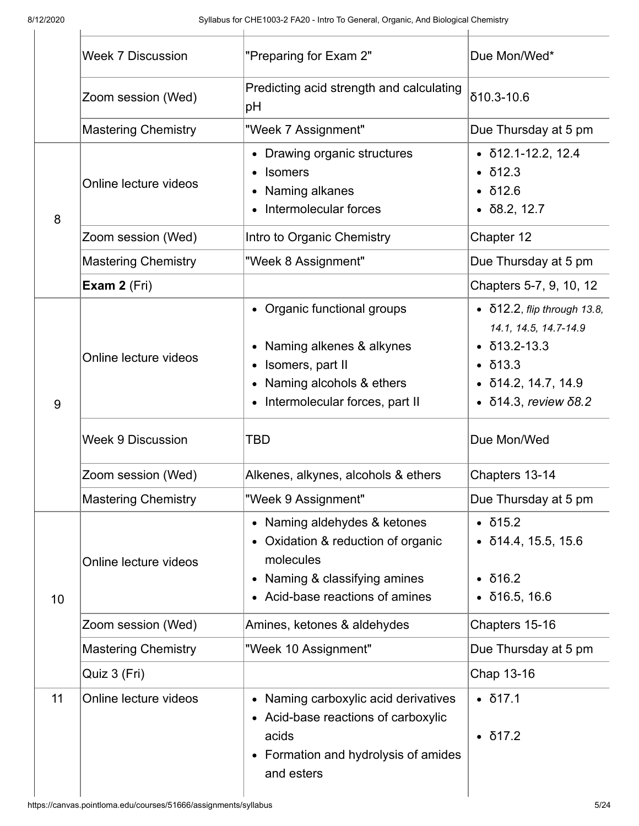|    | <b>Week 7 Discussion</b><br>"Preparing for Exam 2" |                                                                                                                                                                                    | Due Mon/Wed*                                                                                                                                                     |  |
|----|----------------------------------------------------|------------------------------------------------------------------------------------------------------------------------------------------------------------------------------------|------------------------------------------------------------------------------------------------------------------------------------------------------------------|--|
|    | Zoom session (Wed)                                 | Predicting acid strength and calculating<br>pH                                                                                                                                     | $\delta$ 10.3-10.6                                                                                                                                               |  |
|    | <b>Mastering Chemistry</b>                         | "Week 7 Assignment"                                                                                                                                                                | Due Thursday at 5 pm                                                                                                                                             |  |
| 8  | Online lecture videos                              | Drawing organic structures<br><b>Isomers</b><br>$\bullet$<br>Naming alkanes<br>Intermolecular forces                                                                               | $\bullet$ $\delta$ 12.1-12.2, 12.4<br>$\bullet$ $\delta$ 12.3<br>$\cdot$ $\delta$ 12.6<br>$\bullet$ $\delta$ 8.2, 12.7                                           |  |
|    | Zoom session (Wed)                                 | Intro to Organic Chemistry                                                                                                                                                         | Chapter 12                                                                                                                                                       |  |
|    | <b>Mastering Chemistry</b>                         | "Week 8 Assignment"                                                                                                                                                                | Due Thursday at 5 pm                                                                                                                                             |  |
|    | Exam 2 (Fri)                                       |                                                                                                                                                                                    | Chapters 5-7, 9, 10, 12                                                                                                                                          |  |
| 9  | Online lecture videos                              | • Organic functional groups<br>Naming alkenes & alkynes<br>Isomers, part II<br>Naming alcohols & ethers<br>Intermolecular forces, part II                                          | $\bullet$ $\delta$ 12.2, flip through 13.8,<br>14.1, 14.5, 14.7-14.9<br>$\delta$ 13.2-13.3<br>$\bullet$ $\delta$ 13.3<br>δ14.2, 14.7, 14.9<br>δ14.3, review δ8.2 |  |
|    | Week 9 Discussion                                  | <b>TBD</b>                                                                                                                                                                         | Due Mon/Wed                                                                                                                                                      |  |
|    | Zoom session (Wed)                                 | Alkenes, alkynes, alcohols & ethers                                                                                                                                                | Chapters 13-14                                                                                                                                                   |  |
|    | <b>Mastering Chemistry</b>                         | "Week 9 Assignment"                                                                                                                                                                | Due Thursday at 5 pm                                                                                                                                             |  |
| 10 | Online lecture videos                              | Naming aldehydes & ketones<br>$\bullet$<br>Oxidation & reduction of organic<br>$\bullet$<br>molecules<br>Naming & classifying amines<br>$\bullet$<br>Acid-base reactions of amines | $\cdot$ $\delta$ 15.2<br>$\bullet$ $\overline{0}14.4, 15.5, 15.6$<br>$\cdot$ $\delta$ 16.2<br>$\bullet$ $\delta$ 16.5, 16.6                                      |  |
|    | Zoom session (Wed)                                 | Amines, ketones & aldehydes                                                                                                                                                        | Chapters 15-16                                                                                                                                                   |  |
|    | <b>Mastering Chemistry</b>                         | "Week 10 Assignment"                                                                                                                                                               | Due Thursday at 5 pm                                                                                                                                             |  |
|    | Quiz 3 (Fri)                                       |                                                                                                                                                                                    | Chap 13-16                                                                                                                                                       |  |
| 11 | Online lecture videos                              | Naming carboxylic acid derivatives<br>$\bullet$<br>• Acid-base reactions of carboxylic<br>acids<br>Formation and hydrolysis of amides<br>$\bullet$<br>and esters                   | $\bullet$ $\delta$ 17.1<br>$\cdot$ $\delta$ 17.2                                                                                                                 |  |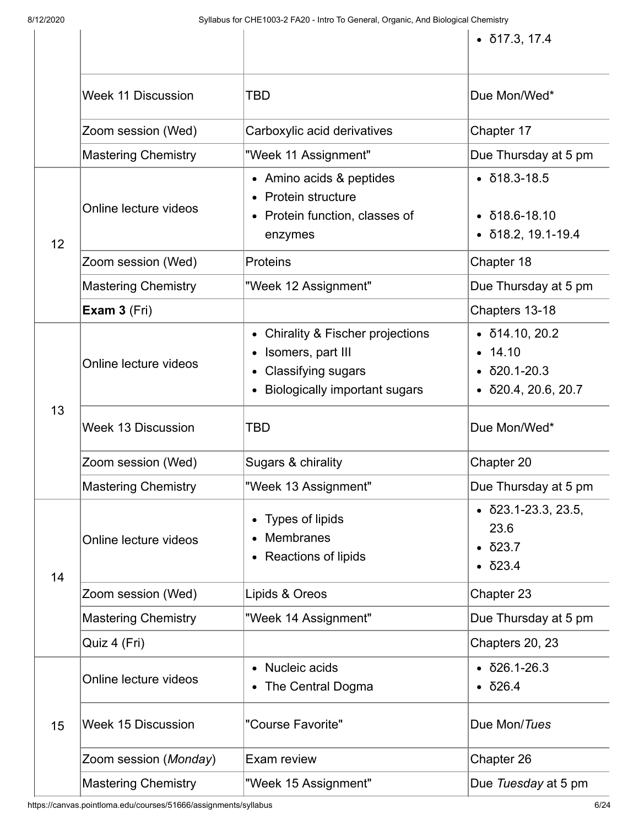|    |                            |                                                                                                                                                | $\bullet$ $\delta$ 17.3, 17.4                                                                                |
|----|----------------------------|------------------------------------------------------------------------------------------------------------------------------------------------|--------------------------------------------------------------------------------------------------------------|
|    | <b>Week 11 Discussion</b>  | <b>TBD</b>                                                                                                                                     | Due Mon/Wed*                                                                                                 |
|    | Zoom session (Wed)         | Carboxylic acid derivatives                                                                                                                    | Chapter 17                                                                                                   |
|    | <b>Mastering Chemistry</b> | "Week 11 Assignment"                                                                                                                           | Due Thursday at 5 pm                                                                                         |
| 12 | Online lecture videos      | • Amino acids & peptides<br>Protein structure<br>Protein function, classes of<br>$\bullet$<br>enzymes                                          | $\bullet$ $\delta$ 18.3-18.5<br>δ18.6-18.10<br>$\bullet$ $\delta$ 18.2, 19.1-19.4                            |
|    | Zoom session (Wed)         | <b>Proteins</b>                                                                                                                                | Chapter 18                                                                                                   |
|    | <b>Mastering Chemistry</b> | "Week 12 Assignment"                                                                                                                           | Due Thursday at 5 pm                                                                                         |
|    | Exam 3 (Fri)               |                                                                                                                                                | Chapters 13-18                                                                                               |
| 13 | Online lecture videos      | <b>Chirality &amp; Fischer projections</b><br>٠<br>Isomers, part III<br><b>Classifying sugars</b><br>٠<br><b>Biologically important sugars</b> | $\bullet$ $\delta$ 14.10, 20.2<br>14.10<br>$\bullet$<br>$\delta$ 20.1-20.3<br>δ20.4, 20.6, 20.7<br>$\bullet$ |
|    |                            |                                                                                                                                                |                                                                                                              |
|    | <b>Week 13 Discussion</b>  | <b>TBD</b>                                                                                                                                     | Due Mon/Wed*                                                                                                 |
|    | Zoom session (Wed)         | Sugars & chirality                                                                                                                             | Chapter 20                                                                                                   |
|    | <b>Mastering Chemistry</b> | "Week 13 Assignment"                                                                                                                           | Due Thursday at 5 pm                                                                                         |
|    | Online lecture videos      | Types of lipids<br><b>Membranes</b><br>Reactions of lipids                                                                                     | $\bullet$ $\delta$ 23.1-23.3, 23.5,<br>23.6<br>δ23.7<br>$\bullet$<br>$\bullet$ $\delta$ 23.4                 |
| 14 | Zoom session (Wed)         | Lipids & Oreos                                                                                                                                 | Chapter 23                                                                                                   |
|    | <b>Mastering Chemistry</b> | "Week 14 Assignment"                                                                                                                           | Due Thursday at 5 pm                                                                                         |
|    | Quiz 4 (Fri)               |                                                                                                                                                | Chapters 20, 23                                                                                              |
|    | Online lecture videos      | Nucleic acids<br>The Central Dogma                                                                                                             | δ26.1-26.3<br>$\delta$ 26.4                                                                                  |
| 15 | <b>Week 15 Discussion</b>  | "Course Favorite"                                                                                                                              | Due Mon/Tues                                                                                                 |
|    | Zoom session (Monday)      | Exam review                                                                                                                                    | Chapter 26                                                                                                   |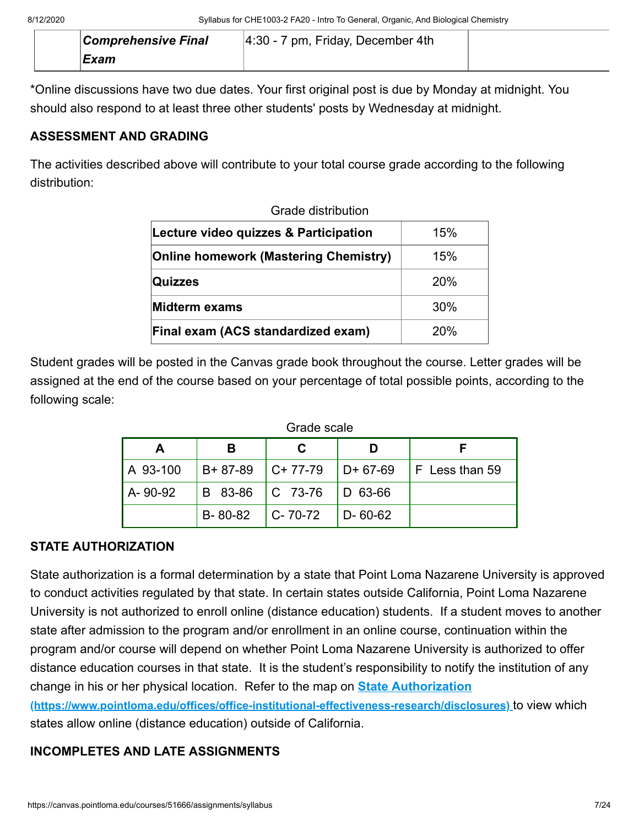| <b>Comprehensive Final</b> | $ 4:30 - 7$ pm, Friday, December 4th |  |
|----------------------------|--------------------------------------|--|
| Exam                       |                                      |  |

\*Online discussions have two due dates. Your first original post is due by Monday at midnight. You should also respond to at least three other students' posts by Wednesday at midnight.

#### **ASSESSMENT AND GRADING**

The activities described above will contribute to your total course grade according to the following distribution:

| Grade distribution                           |     |  |  |
|----------------------------------------------|-----|--|--|
| Lecture video quizzes & Participation        | 15% |  |  |
| <b>Online homework (Mastering Chemistry)</b> | 15% |  |  |
| Quizzes                                      | 20% |  |  |
| Midterm exams                                | 30% |  |  |
| Final exam (ACS standardized exam)           | 20% |  |  |

Student grades will be posted in the Canvas grade book throughout the course. Letter grades will be assigned at the end of the course based on your percentage of total possible points, according to the following scale:

| Grade scale |                 |                 |               |                  |
|-------------|-----------------|-----------------|---------------|------------------|
| A           |                 |                 |               |                  |
| A 93-100    | $B + 87 - 89$   | $ C+77-79 $     | $D + 67-69$   | $F$ Less than 59 |
| A-90-92     | B 83-86 C 73-76 |                 | $ D 63-66 $   |                  |
|             | B-80-82         | $ C - 70 - 72 $ | $D - 60 - 62$ |                  |

#### **STATE AUTHORIZATION**

State authorization is a formal determination by a state that Point Loma Nazarene University is approved to conduct activities regulated by that state. In certain states outside California, Point Loma Nazarene University is not authorized to enroll online (distance education) students. If a student moves to another state after admission to the program and/or enrollment in an online course, continuation within the program and/or course will depend on whether Point Loma Nazarene University is authorized to offer distance education courses in that state. It is the student's responsibility to notify the institution of any change in his or her physical location. Refer to the map on **State Authorization**

**[\(https://www.pointloma.edu/offices/office-institutional-effectiveness-research/disclosures\)](https://www.pointloma.edu/offices/office-institutional-effectiveness-research/disclosures)** to view which states allow online (distance education) outside of California.

### **INCOMPLETES AND LATE ASSIGNMENTS**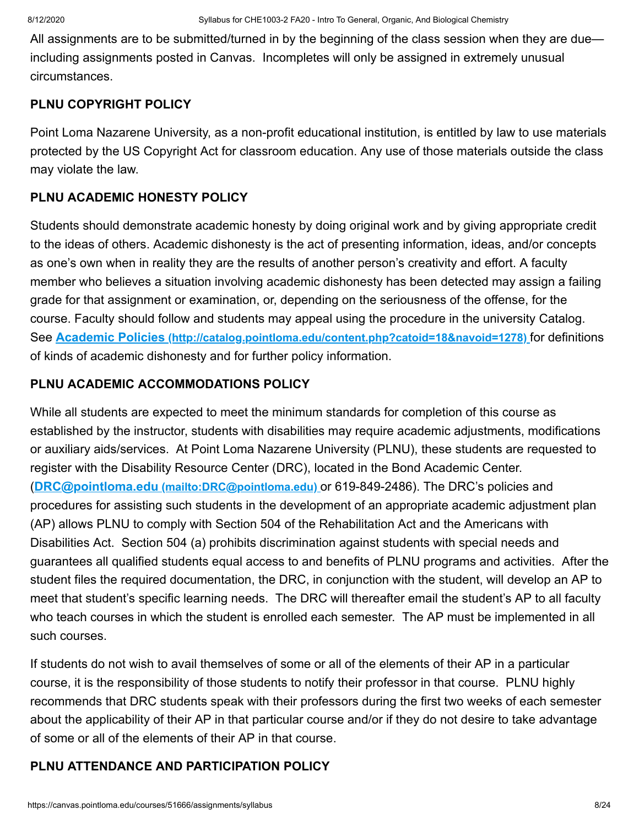All assignments are to be submitted/turned in by the beginning of the class session when they are due including assignments posted in Canvas. Incompletes will only be assigned in extremely unusual circumstances.

#### **PLNU COPYRIGHT POLICY**

Point Loma Nazarene University, as a non-profit educational institution, is entitled by law to use materials protected by the US Copyright Act for classroom education. Any use of those materials outside the class may violate the law.

#### **PLNU ACADEMIC HONESTY POLICY**

Students should demonstrate academic honesty by doing original work and by giving appropriate credit to the ideas of others. Academic dishonesty is the act of presenting information, ideas, and/or concepts as one's own when in reality they are the results of another person's creativity and effort. A faculty member who believes a situation involving academic dishonesty has been detected may assign a failing grade for that assignment or examination, or, depending on the seriousness of the offense, for the course. Faculty should follow and students may appeal using the procedure in the university Catalog. See **Academic Policies [\(http://catalog.pointloma.edu/content.php?catoid=18&navoid=1278\)](http://catalog.pointloma.edu/content.php?catoid=18&navoid=1278)** for definitions of kinds of academic dishonesty and for further policy information.

#### **PLNU ACADEMIC ACCOMMODATIONS POLICY**

While all students are expected to meet the minimum standards for completion of this course as established by the instructor, students with disabilities may require academic adjustments, modifications or auxiliary aids/services. At Point Loma Nazarene University (PLNU), these students are requested to register with the Disability Resource Center (DRC), located in the Bond Academic Center. (**DRC@pointloma.edu [\(mailto:DRC@pointloma.edu\)](mailto:DRC@pointloma.edu)** or 619-849-2486). The DRC's policies and procedures for assisting such students in the development of an appropriate academic adjustment plan (AP) allows PLNU to comply with Section 504 of the Rehabilitation Act and the Americans with Disabilities Act. Section 504 (a) prohibits discrimination against students with special needs and guarantees all qualified students equal access to and benefits of PLNU programs and activities. After the student files the required documentation, the DRC, in conjunction with the student, will develop an AP to meet that student's specific learning needs. The DRC will thereafter email the student's AP to all faculty who teach courses in which the student is enrolled each semester. The AP must be implemented in all such courses.

If students do not wish to avail themselves of some or all of the elements of their AP in a particular course, it is the responsibility of those students to notify their professor in that course. PLNU highly recommends that DRC students speak with their professors during the first two weeks of each semester about the applicability of their AP in that particular course and/or if they do not desire to take advantage of some or all of the elements of their AP in that course.

#### **PLNU ATTENDANCE AND PARTICIPATION POLICY**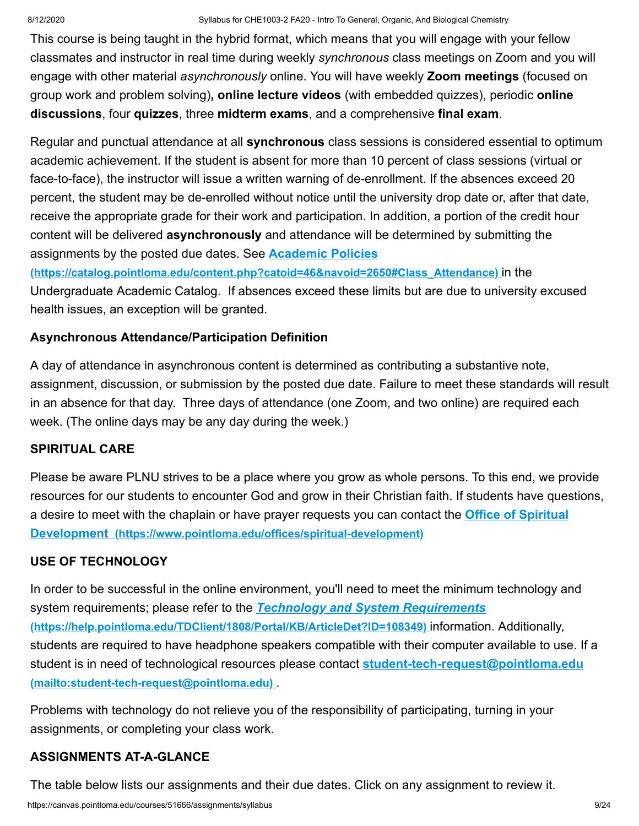This course is being taught in the hybrid format, which means that you will engage with your fellow classmates and instructor in real time during weekly *synchronous* class meetings on Zoom and you will engage with other material *asynchronously* online. You will have weekly **Zoom meetings** (focused on group work and problem solving)**, online lecture videos** (with embedded quizzes), periodic **online discussions**, four **quizzes**, three **midterm exams**, and a comprehensive **final exam**.

Regular and punctual attendance at all **synchronous** class sessions is considered essential to optimum academic achievement. If the student is absent for more than 10 percent of class sessions (virtual or face-to-face), the instructor will issue a written warning of de-enrollment. If the absences exceed 20 percent, the student may be de-enrolled without notice until the university drop date or, after that date, receive the appropriate grade for their work and participation. In addition, a portion of the credit hour content will be delivered **asynchronously** and attendance will be determined by submitting the assignments by the posted due dates. See **Academic Policies**

**[\(https://catalog.pointloma.edu/content.php?catoid=46&navoid=2650#Class\\_Attendance\)](https://catalog.pointloma.edu/content.php?catoid=46&navoid=2650#Class_Attendance)** in the Undergraduate Academic Catalog. If absences exceed these limits but are due to university excused health issues, an exception will be granted.

## **Asynchronous Attendance/Participation Definition**

A day of attendance in asynchronous content is determined as contributing a substantive note, assignment, discussion, or submission by the posted due date. Failure to meet these standards will result in an absence for that day. Three days of attendance (one Zoom, and two online) are required each week. (The online days may be any day during the week.)

## **SPIRITUAL CARE**

Please be aware PLNU strives to be a place where you grow as whole persons. To this end, we provide resources for our students to encounter God and grow in their Christian faith. If students have questions, [a desire to meet with the chaplain or have prayer requests you can contact the](https://www.pointloma.edu/offices/spiritual-development) **Office of Spiritual Development (https://www.pointloma.edu/offices/spiritual-development)**

## **USE OF TECHNOLOGY**

In order to be successful in the online environment, you'll need to meet the minimum technology and system requirements; please refer to the *Technology and System Requirements* **[\(https://help.pointloma.edu/TDClient/1808/Portal/KB/ArticleDet?ID=108349\)](https://help.pointloma.edu/TDClient/1808/Portal/KB/ArticleDet?ID=108349)** information. Additionally, students are required to have headphone speakers compatible with their computer available to use. If a [student is in need of technological resources please contact](mailto:student-tech-request@pointloma.edu) **student-tech-request@pointloma.edu (mailto:student-tech-request@pointloma.edu)** .

Problems with technology do not relieve you of the responsibility of participating, turning in your assignments, or completing your class work.

## **ASSIGNMENTS AT-A-GLANCE**

The table below lists our assignments and their due dates. Click on any assignment to review it.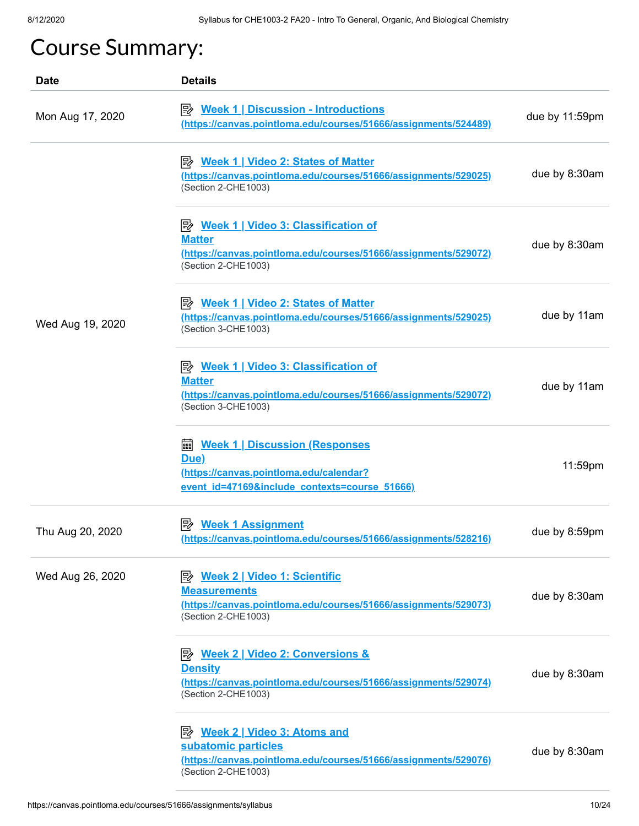# Course Summary:

| <b>Date</b>      | <b>Details</b>                                                                                                                                              |                |
|------------------|-------------------------------------------------------------------------------------------------------------------------------------------------------------|----------------|
| Mon Aug 17, 2020 | <b>E</b> Week 1   Discussion - Introductions<br>(https://canvas.pointloma.edu/courses/51666/assignments/524489)                                             | due by 11:59pm |
|                  | <b>E</b> <u>Week 1   Video 2: States of Matter</u><br>(https://canvas.pointloma.edu/courses/51666/assignments/529025)<br>(Section 2-CHE1003)                | due by 8:30am  |
|                  | <b>E</b> Week 1   Video 3: Classification of<br><b>Matter</b><br>(https://canvas.pointloma.edu/courses/51666/assignments/529072)<br>(Section 2-CHE1003)     | due by 8:30am  |
| Wed Aug 19, 2020 | P <sup>2</sup> Week 1   Video 2: States of Matter<br>(https://canvas.pointloma.edu/courses/51666/assignments/529025)<br>(Section 3-CHE1003)                 | due by 11am    |
|                  | P Week 1   Video 3: Classification of<br><b>Matter</b><br>(https://canvas.pointloma.edu/courses/51666/assignments/529072)<br>(Section 3-CHE1003)            | due by 11am    |
|                  | <b>a Week 1   Discussion (Responses</b><br>Due)<br>(https://canvas.pointloma.edu/calendar?<br>event id=47169&include contexts=course 51666)                 | 11:59pm        |
| Thu Aug 20, 2020 | (https://canvas.pointloma.edu/courses/51666/assignments/528216)                                                                                             | due by 8:59pm  |
| Wed Aug 26, 2020 | <b>Measurements</b><br>(https://canvas.pointloma.edu/courses/51666/assignments/529073)<br>(Section 2-CHE1003)                                               | due by 8:30am  |
|                  | <b>E</b> Week 2   Video 2: Conversions &<br><b>Density</b><br>(https://canvas.pointloma.edu/courses/51666/assignments/529074)<br>(Section 2-CHE1003)        | due by 8:30am  |
|                  | P <sup>2</sup> Week 2   Video 3: Atoms and<br>subatomic particles<br>(https://canvas.pointloma.edu/courses/51666/assignments/529076)<br>(Section 2-CHE1003) | due by 8:30am  |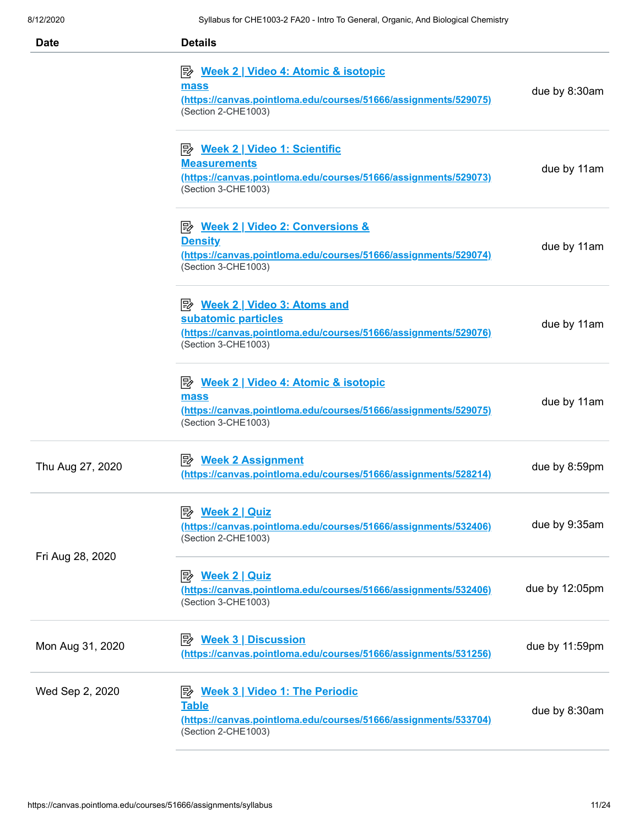| <b>Date</b>      | <b>Details</b>                                                                                                                                                  |                |
|------------------|-----------------------------------------------------------------------------------------------------------------------------------------------------------------|----------------|
|                  | P <sup>2</sup> Week 2   Video 4: Atomic & isotopic<br>mass<br>(https://canvas.pointloma.edu/courses/51666/assignments/529075)<br>(Section 2-CHE1003)            | due by 8:30am  |
|                  | <b>Measurements</b><br>(https://canvas.pointloma.edu/courses/51666/assignments/529073)<br>(Section 3-CHE1003)                                                   | due by 11am    |
|                  | <b>E</b> <u>Week 2   Video 2: Conversions &amp;</u><br><b>Density</b><br>(https://canvas.pointloma.edu/courses/51666/assignments/529074)<br>(Section 3-CHE1003) | due by 11am    |
|                  | P <sup>2</sup> Week 2   Video 3: Atoms and<br>subatomic particles<br>(https://canvas.pointloma.edu/courses/51666/assignments/529076)<br>(Section 3-CHE1003)     | due by 11am    |
|                  | <b>E</b> Week 2   Video 4: Atomic & isotopic<br>mass<br>(https://canvas.pointloma.edu/courses/51666/assignments/529075)<br>(Section 3-CHE1003)                  | due by 11am    |
| Thu Aug 27, 2020 | (https://canvas.pointloma.edu/courses/51666/assignments/528214)                                                                                                 | due by 8:59pm  |
|                  | <b>Week 2   Quiz</b><br>眇<br>(https://canvas.pointloma.edu/courses/51666/assignments/532406)<br>(Section 2-CHE1003)                                             | due by 9:35am  |
| Fri Aug 28, 2020 | <u>Week 2   Quiz</u><br>(https://canvas.pointloma.edu/courses/51666/assignments/532406)<br>(Section 3-CHE1003)                                                  | due by 12:05pm |
| Mon Aug 31, 2020 | <b>Week 3   Discussion</b><br>ぽん<br>(https://canvas.pointloma.edu/courses/51666/assignments/531256)                                                             | due by 11:59pm |
| Wed Sep 2, 2020  | $\Rightarrow$ Week 3   Video 1: The Periodic<br><b>Table</b><br>(https://canvas.pointloma.edu/courses/51666/assignments/533704)<br>(Section 2-CHE1003)          | due by 8:30am  |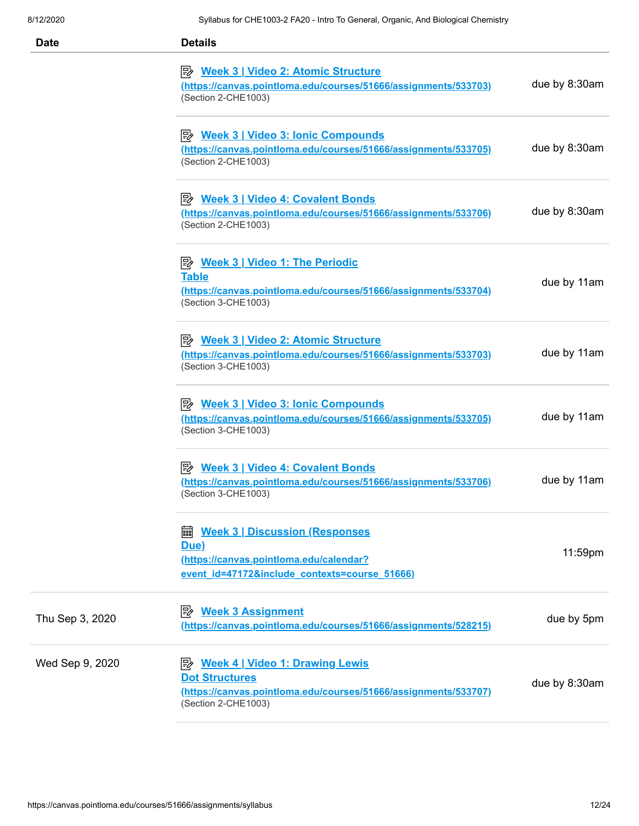| <b>Date</b>     | <b>Details</b>                                                                                                                                                    |               |
|-----------------|-------------------------------------------------------------------------------------------------------------------------------------------------------------------|---------------|
|                 | <b>E</b> <u>Week 3   Video 2: Atomic Structure</u><br>(https://canvas.pointloma.edu/courses/51666/assignments/533703)<br>(Section 2-CHE1003)                      | due by 8:30am |
|                 | $\mathbb{R}$ Week 3   Video 3: Ionic Compounds<br>(https://canvas.pointloma.edu/courses/51666/assignments/533705)<br>(Section 2-CHE1003)                          | due by 8:30am |
|                 | <b>E</b> <u>Week 3   Video 4: Covalent Bonds</u><br>(https://canvas.pointloma.edu/courses/51666/assignments/533706)<br>(Section 2-CHE1003)                        | due by 8:30am |
|                 | $\Rightarrow$ Week 3   Video 1: The Periodic<br><b>Table</b><br>(https://canvas.pointloma.edu/courses/51666/assignments/533704)<br>(Section 3-CHE1003)            | due by 11am   |
|                 | <b>E</b> <u>Week 3   Video 2: Atomic Structure</u><br>(https://canvas.pointloma.edu/courses/51666/assignments/533703)<br>(Section 3-CHE1003)                      | due by 11am   |
|                 | <b>E</b> Week 3   Video 3: Ionic Compounds<br>(https://canvas.pointloma.edu/courses/51666/assignments/533705)<br>(Section 3-CHE1003)                              | due by 11am   |
|                 | P <sup>b</sup> Week 3   Video 4: Covalent Bonds<br>(https://canvas.pointloma.edu/courses/51666/assignments/533706)<br>(Section 3-CHE1003)                         | due by 11am   |
|                 | <b>Week 3   Discussion (Responses)</b><br>匾<br>Due)<br>(https://canvas.pointloma.edu/calendar?<br>event id=47172&include contexts=course 51666)                   | 11:59pm       |
| Thu Sep 3, 2020 | <b>Week 3 Assignment</b><br>彫<br>(https://canvas.pointloma.edu/courses/51666/assignments/528215)                                                                  | due by 5pm    |
| Wed Sep 9, 2020 | P <sup>y</sup> Week 4   Video 1: Drawing Lewis<br><b>Dot Structures</b><br>(https://canvas.pointloma.edu/courses/51666/assignments/533707)<br>(Section 2-CHE1003) | due by 8:30am |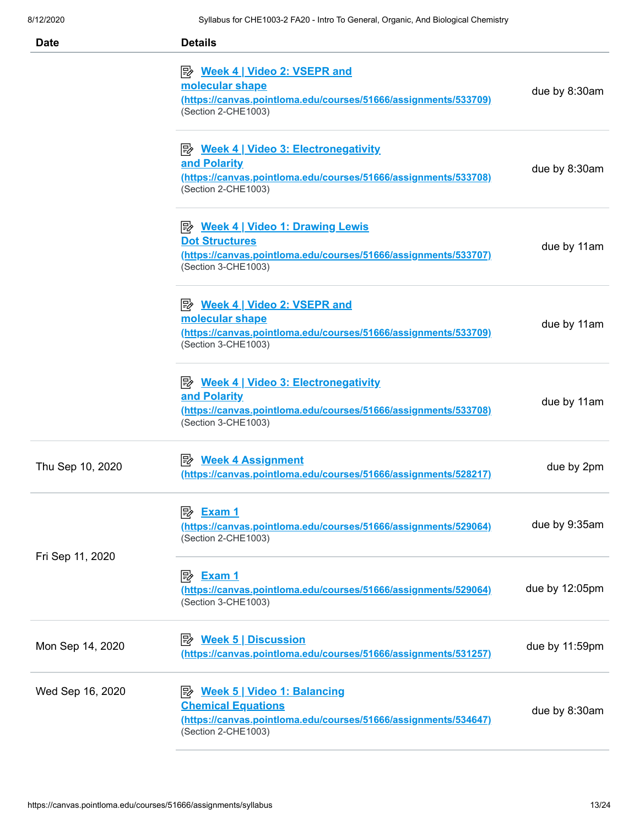| <b>Date</b>      | <b>Details</b>                                                                                                                                                    |                |
|------------------|-------------------------------------------------------------------------------------------------------------------------------------------------------------------|----------------|
|                  | <b>E</b> <u>Week 4   Video 2: VSEPR and</u><br>molecular shape<br>(https://canvas.pointloma.edu/courses/51666/assignments/533709)<br>(Section 2-CHE1003)          | due by 8:30am  |
|                  | $\Rightarrow$ Week 4   Video 3: Electronegativity<br>and Polarity<br>(https://canvas.pointloma.edu/courses/51666/assignments/533708)<br>(Section 2-CHE1003)       | due by 8:30am  |
|                  | P <sup>2</sup> Week 4   Video 1: Drawing Lewis<br><b>Dot Structures</b><br>(https://canvas.pointloma.edu/courses/51666/assignments/533707)<br>(Section 3-CHE1003) | due by 11am    |
|                  | P <sup>2</sup> Week 4   Video 2: VSEPR and<br>molecular shape<br>(https://canvas.pointloma.edu/courses/51666/assignments/533709)<br>(Section 3-CHE1003)           | due by 11am    |
|                  | <b>E</b> <u>Week 4   Video 3: Electronegativity</u><br>and Polarity<br>(https://canvas.pointloma.edu/courses/51666/assignments/533708)<br>(Section 3-CHE1003)     | due by 11am    |
| Thu Sep 10, 2020 | ■ Week 4 Assignment<br>(https://canvas.pointloma.edu/courses/51666/assignments/528217)                                                                            | due by 2pm     |
|                  | (https://canvas.pointloma.edu/courses/51666/assignments/529064)<br>(Section 2-CHE1003)                                                                            | due by 9:35am  |
| Fri Sep 11, 2020 | (https://canvas.pointloma.edu/courses/51666/assignments/529064)<br>(Section 3-CHE1003)                                                                            | due by 12:05pm |
| Mon Sep 14, 2020 | <u>Week 5   Discussion</u><br>彫<br>(https://canvas.pointloma.edu/courses/51666/assignments/531257)                                                                | due by 11:59pm |
| Wed Sep 16, 2020 | <u>≫ Week 5   Video 1: Balancing</u><br><b>Chemical Equations</b><br>(https://canvas.pointloma.edu/courses/51666/assignments/534647)<br>(Section 2-CHE1003)       | due by 8:30am  |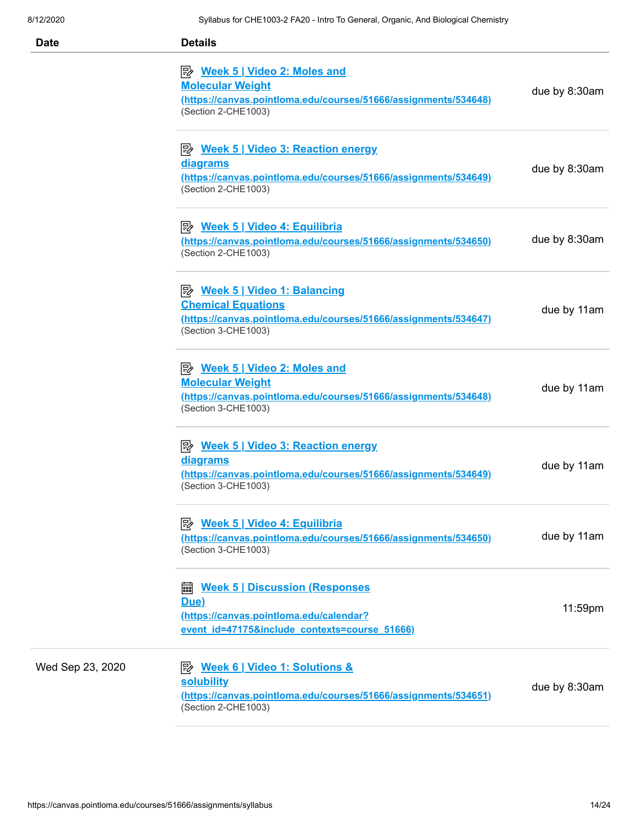| <b>Date</b>      | <b>Details</b>                                                                                                                                              |               |
|------------------|-------------------------------------------------------------------------------------------------------------------------------------------------------------|---------------|
|                  | <u>≫ Week 5   Video 2: Moles and</u><br><b>Molecular Weight</b><br>(https://canvas.pointloma.edu/courses/51666/assignments/534648)<br>(Section 2-CHE1003)   | due by 8:30am |
|                  | <b>E</b> Week 5   Video 3: Reaction energy<br><u>diagrams</u><br>(https://canvas.pointloma.edu/courses/51666/assignments/534649)<br>(Section 2-CHE1003)     | due by 8:30am |
|                  | P <sup>2</sup> Week 5   Video 4: Equilibria<br>(https://canvas.pointloma.edu/courses/51666/assignments/534650)<br>(Section 2-CHE1003)                       | due by 8:30am |
|                  | <u>≫ Week 5   Video 1: Balancing</u><br><b>Chemical Equations</b><br>(https://canvas.pointloma.edu/courses/51666/assignments/534647)<br>(Section 3-CHE1003) | due by 11am   |
|                  | <u>≫ Week 5   Video 2: Moles and</u><br><b>Molecular Weight</b><br>(https://canvas.pointloma.edu/courses/51666/assignments/534648)<br>(Section 3-CHE1003)   | due by 11am   |
|                  | <b>E Week 5   Video 3: Reaction energy</b><br><u>diagrams</u><br>(https://canvas.pointloma.edu/courses/51666/assignments/534649)<br>(Section 3-CHE1003)     | due by 11am   |
|                  | P Week 5   Video 4: Equilibria<br>(https://canvas.pointloma.edu/courses/51666/assignments/534650)<br>(Section 3-CHE1003)                                    | due by 11am   |
|                  | <b>Week 5   Discussion (Responses)</b><br>匾<br>Due)<br>(https://canvas.pointloma.edu/calendar?<br>event id=47175&include_contexts=course_51666)             | 11:59pm       |
| Wed Sep 23, 2020 | <b>solubility</b><br>(https://canvas.pointloma.edu/courses/51666/assignments/534651)<br>(Section 2-CHE1003)                                                 | due by 8:30am |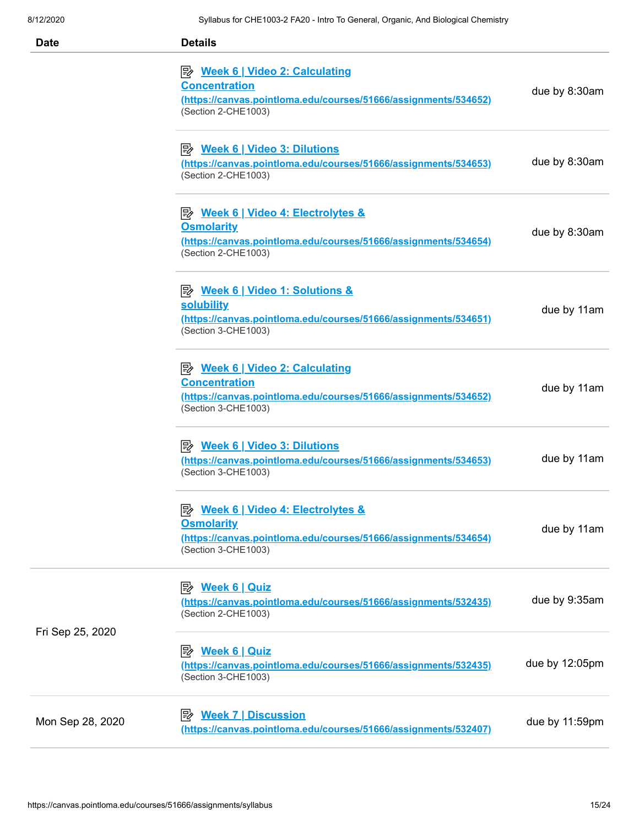| <b>Date</b>      | <b>Details</b>                                                                                                                                           |                |
|------------------|----------------------------------------------------------------------------------------------------------------------------------------------------------|----------------|
|                  | <u>≫ Week 6   Video 2: Calculating</u><br><b>Concentration</b><br>(https://canvas.pointloma.edu/courses/51666/assignments/534652)<br>(Section 2-CHE1003) | due by 8:30am  |
|                  | (https://canvas.pointloma.edu/courses/51666/assignments/534653)<br>(Section 2-CHE1003)                                                                   | due by 8:30am  |
|                  | <b>Osmolarity</b><br>(https://canvas.pointloma.edu/courses/51666/assignments/534654)<br>(Section 2-CHE1003)                                              | due by 8:30am  |
|                  | <b>solubility</b><br>(https://canvas.pointloma.edu/courses/51666/assignments/534651)<br>(Section 3-CHE1003)                                              | due by 11am    |
|                  | <u>≫ Week 6   Video 2: Calculating</u><br><b>Concentration</b><br>(https://canvas.pointloma.edu/courses/51666/assignments/534652)<br>(Section 3-CHE1003) | due by 11am    |
|                  | <sup>2</sup> Week 6   Video 3: Dilutions<br>(https://canvas.pointloma.edu/courses/51666/assignments/534653)<br>(Section 3-CHE1003)                       | due by 11am    |
|                  | <b>Osmolarity</b><br>(https://canvas.pointloma.edu/courses/51666/assignments/534654)<br>(Section 3-CHE1003)                                              | due by 11am    |
| Fri Sep 25, 2020 | (https://canvas.pointloma.edu/courses/51666/assignments/532435)<br>(Section 2-CHE1003)                                                                   | due by 9:35am  |
|                  | (https://canvas.pointloma.edu/courses/51666/assignments/532435)<br>(Section 3-CHE1003)                                                                   | due by 12:05pm |
| Mon Sep 28, 2020 | (https://canvas.pointloma.edu/courses/51666/assignments/532407)                                                                                          | due by 11:59pm |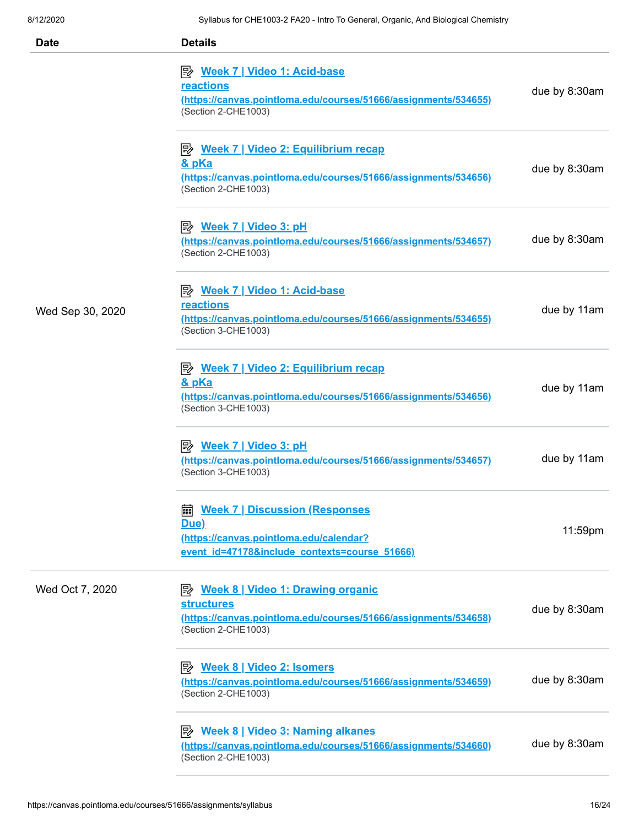| <b>Date</b>      | <b>Details</b>                                                                                                                                                  |               |
|------------------|-----------------------------------------------------------------------------------------------------------------------------------------------------------------|---------------|
|                  | P <sup>2</sup> Week 7   Video 1: Acid-base<br>reactions<br>(https://canvas.pointloma.edu/courses/51666/assignments/534655)<br>(Section 2-CHE1003)               | due by 8:30am |
|                  | $\Rightarrow$ Week 7   Video 2: Equilibrium recap<br><u>&amp; pKa</u><br>(https://canvas.pointloma.edu/courses/51666/assignments/534656)<br>(Section 2-CHE1003) | due by 8:30am |
|                  | (https://canvas.pointloma.edu/courses/51666/assignments/534657)<br>(Section 2-CHE1003)                                                                          | due by 8:30am |
| Wed Sep 30, 2020 | <u>≫ Week 7   Video 1: Acid-base</u><br>reactions<br>(https://canvas.pointloma.edu/courses/51666/assignments/534655)<br>(Section 3-CHE1003)                     | due by 11am   |
|                  | P Week 7   Video 2: Equilibrium recap<br><u>&amp; pKa</u><br>(https://canvas.pointloma.edu/courses/51666/assignments/534656)<br>(Section 3-CHE1003)             | due by 11am   |
|                  | (https://canvas.pointloma.edu/courses/51666/assignments/534657)<br>(Section 3-CHE1003)                                                                          | due by 11am   |
|                  | <b>■ Week 7   Discussion (Responses</b><br>Due)<br>(https://canvas.pointloma.edu/calendar?<br>event id=47178&include contexts=course 51666)                     | 11:59pm       |
| Wed Oct 7, 2020  | <b>structures</b><br>(https://canvas.pointloma.edu/courses/51666/assignments/534658)<br>(Section 2-CHE1003)                                                     | due by 8:30am |
|                  | (https://canvas.pointloma.edu/courses/51666/assignments/534659)<br>(Section 2-CHE1003)                                                                          | due by 8:30am |
|                  | <b>E</b> <u>Week 8   Video 3: Naming alkanes</u><br>(https://canvas.pointloma.edu/courses/51666/assignments/534660)<br>(Section 2-CHE1003)                      | due by 8:30am |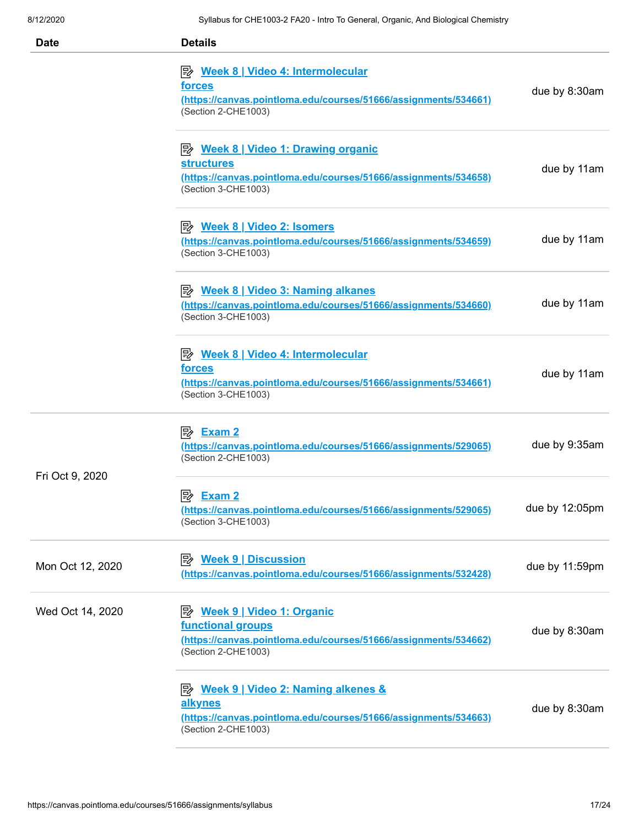| <b>Date</b>      | <b>Details</b>                                                                                                                                             |                |
|------------------|------------------------------------------------------------------------------------------------------------------------------------------------------------|----------------|
|                  | $\Rightarrow$ Week 8   Video 4: Intermolecular<br>forces<br>(https://canvas.pointloma.edu/courses/51666/assignments/534661)<br>(Section 2-CHE1003)         | due by 8:30am  |
|                  | <b>structures</b><br>(https://canvas.pointloma.edu/courses/51666/assignments/534658)<br>(Section 3-CHE1003)                                                | due by 11am    |
|                  | P <sup>2</sup> Week 8   Video 2: Isomers<br>(https://canvas.pointloma.edu/courses/51666/assignments/534659)<br>(Section 3-CHE1003)                         | due by 11am    |
|                  | <b>E</b> <u>Week 8   Video 3: Naming alkanes</u><br>(https://canvas.pointloma.edu/courses/51666/assignments/534660)<br>(Section 3-CHE1003)                 | due by 11am    |
|                  | P <sup>2</sup> Week 8   Video 4: Intermolecular<br><u>forces</u><br>(https://canvas.pointloma.edu/courses/51666/assignments/534661)<br>(Section 3-CHE1003) | due by 11am    |
|                  | (https://canvas.pointloma.edu/courses/51666/assignments/529065)<br>(Section 2-CHE1003)                                                                     | due by 9:35am  |
| Fri Oct 9, 2020  | (https://canvas.pointloma.edu/courses/51666/assignments/529065)<br>(Section 3-CHE1003)                                                                     | due by 12:05pm |
| Mon Oct 12, 2020 | <b>B</b> Week 9   Discussion<br>(https://canvas.pointloma.edu/courses/51666/assignments/532428)                                                            | due by 11:59pm |
| Wed Oct 14, 2020 | P <sup>2</sup> Week 9   Video 1: Organic<br>functional groups<br>(https://canvas.pointloma.edu/courses/51666/assignments/534662)<br>(Section 2-CHE1003)    | due by 8:30am  |
|                  | <b>E</b> Meek 9   Video 2: Naming alkenes &<br>alkynes<br>(https://canvas.pointloma.edu/courses/51666/assignments/534663)<br>(Section 2-CHE1003)           | due by 8:30am  |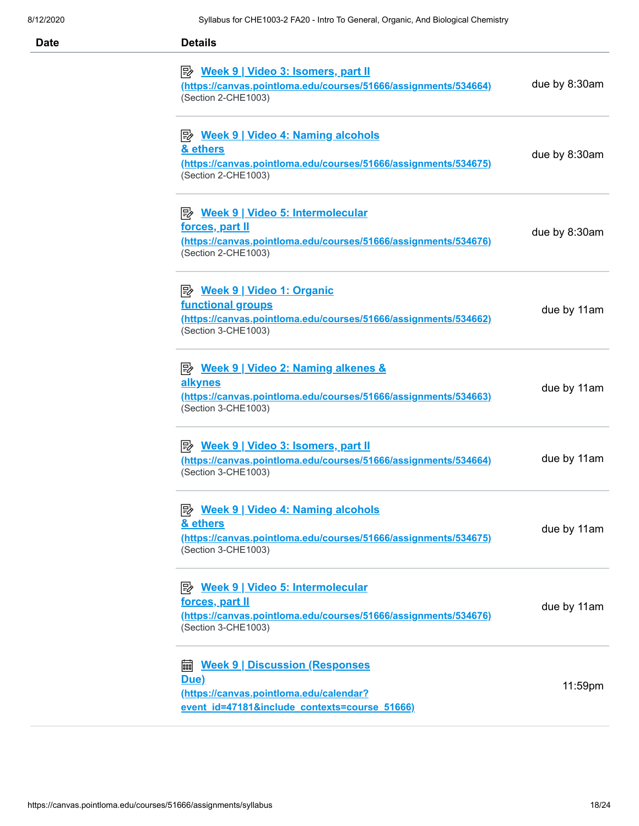| Date | <b>Details</b>                                                                                                                                               |               |
|------|--------------------------------------------------------------------------------------------------------------------------------------------------------------|---------------|
|      | (https://canvas.pointloma.edu/courses/51666/assignments/534664)<br>(Section 2-CHE1003)                                                                       | due by 8:30am |
|      | P Week 9   Video 4: Naming alcohols<br>& ethers<br>(https://canvas.pointloma.edu/courses/51666/assignments/534675)<br>(Section 2-CHE1003)                    | due by 8:30am |
|      | P <sup>y</sup> Week 9   Video 5: Intermolecular<br>forces, part II<br>(https://canvas.pointloma.edu/courses/51666/assignments/534676)<br>(Section 2-CHE1003) | due by 8:30am |
|      | functional groups<br>(https://canvas.pointloma.edu/courses/51666/assignments/534662)<br>(Section 3-CHE1003)                                                  | due by 11am   |
|      | <b>E</b> Meek 9   Video 2: Naming alkenes &<br>alkynes<br>(https://canvas.pointloma.edu/courses/51666/assignments/534663)<br>(Section 3-CHE1003)             | due by 11am   |
|      | (https://canvas.pointloma.edu/courses/51666/assignments/534664)<br>(Section 3-CHE1003)                                                                       | due by 11am   |
|      | <sup>E</sup> Week 9   Video 4: Naming alcohols<br>& ethers<br>(https://canvas.pointloma.edu/courses/51666/assignments/534675)<br>(Section 3-CHE1003)         | due by 11am   |
|      | forces, part II<br>(https://canvas.pointloma.edu/courses/51666/assignments/534676)<br>(Section 3-CHE1003)                                                    | due by 11am   |
|      | <b>■ Week 9   Discussion (Responses</b><br>Due)<br>(https://canvas.pointloma.edu/calendar?<br>event id=47181&include contexts=course 51666)                  | 11:59pm       |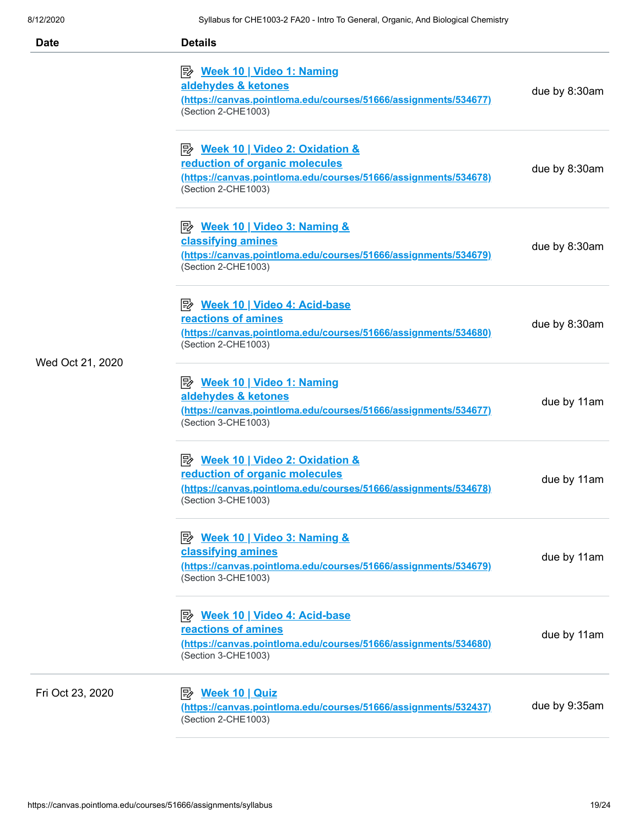| <b>Date</b>      | <b>Details</b>                                                                                                                                                      |               |
|------------------|---------------------------------------------------------------------------------------------------------------------------------------------------------------------|---------------|
|                  | P <sup>2</sup> Week 10   Video 1: Naming<br>aldehydes & ketones<br>(https://canvas.pointloma.edu/courses/51666/assignments/534677)<br>(Section 2-CHE1003)           | due by 8:30am |
|                  | <b>E</b> Week 10   Video 2: Oxidation &<br>reduction of organic molecules<br>(https://canvas.pointloma.edu/courses/51666/assignments/534678)<br>(Section 2-CHE1003) | due by 8:30am |
|                  | classifying amines<br>(https://canvas.pointloma.edu/courses/51666/assignments/534679)<br>(Section 2-CHE1003)                                                        | due by 8:30am |
| Wed Oct 21, 2020 | <u> <i>Week 10</i>   Video 4: Acid-base</u><br>reactions of amines<br>(https://canvas.pointloma.edu/courses/51666/assignments/534680)<br>(Section 2-CHE1003)        | due by 8:30am |
|                  | <u>≫ Week 10   Video 1: Naming</u><br>aldehydes & ketones<br>(https://canvas.pointloma.edu/courses/51666/assignments/534677)<br>(Section 3-CHE1003)                 | due by 11am   |
|                  | reduction of organic molecules<br>(https://canvas.pointloma.edu/courses/51666/assignments/534678)<br>(Section 3-CHE1003)                                            | due by 11am   |
|                  | classifying amines<br>(https://canvas.pointloma.edu/courses/51666/assignments/534679)<br>(Section 3-CHE1003)                                                        | due by 11am   |
|                  | 彫<br><u>Week 10   Video 4: Acid-base</u><br>reactions of amines<br>(https://canvas.pointloma.edu/courses/51666/assignments/534680)<br>(Section 3-CHE1003)           | due by 11am   |
| Fri Oct 23, 2020 | (https://canvas.pointloma.edu/courses/51666/assignments/532437)<br>(Section 2-CHE1003)                                                                              | due by 9:35am |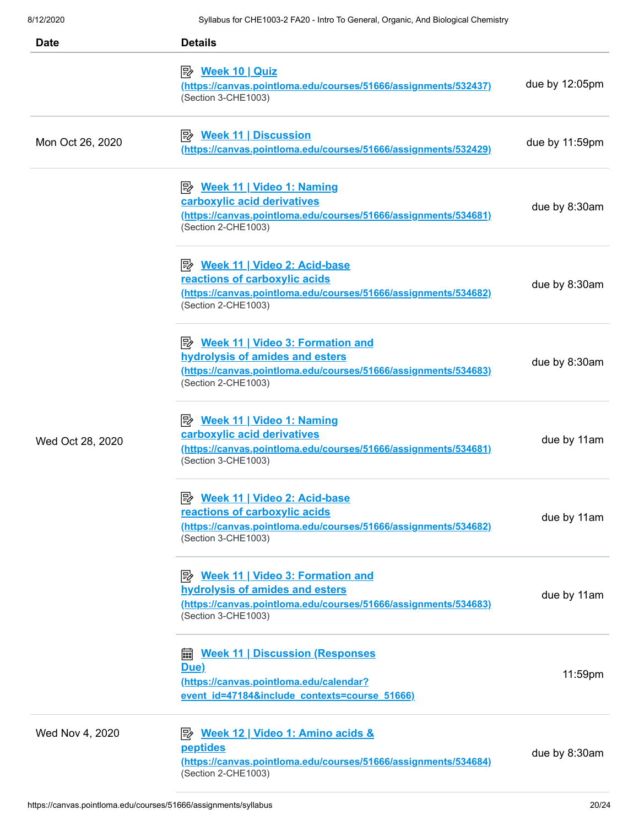| Date             | <b>Details</b>                                                                                                                                                                |                |
|------------------|-------------------------------------------------------------------------------------------------------------------------------------------------------------------------------|----------------|
|                  | <mark>Week 10   Quiz</mark><br>(https://canvas.pointloma.edu/courses/51666/assignments/532437)<br>(Section 3-CHE1003)                                                         | due by 12:05pm |
| Mon Oct 26, 2020 | (https://canvas.pointloma.edu/courses/51666/assignments/532429)                                                                                                               | due by 11:59pm |
|                  | P <sup>2</sup> Week 11   Video 1: Naming<br>carboxylic acid derivatives<br>(https://canvas.pointloma.edu/courses/51666/assignments/534681)<br>(Section 2-CHE1003)             | due by 8:30am  |
|                  | P <sup>2</sup> Week 11   Video 2: Acid-base<br>reactions of carboxylic acids<br>(https://canvas.pointloma.edu/courses/51666/assignments/534682)<br>(Section 2-CHE1003)        | due by 8:30am  |
| Wed Oct 28, 2020 | <b>E</b> Week 11   Video 3: Formation and<br>hydrolysis of amides and esters<br>(https://canvas.pointloma.edu/courses/51666/assignments/534683)<br>(Section 2-CHE1003)        | due by 8:30am  |
|                  | <u>≫ Week 11   Video 1: Naming</u><br>carboxylic acid derivatives<br>(https://canvas.pointloma.edu/courses/51666/assignments/534681)<br>(Section 3-CHE1003)                   | due by 11am    |
|                  | <b>E</b> Week 11   Video 2: Acid-base<br>reactions of carboxylic acids<br>(https://canvas.pointloma.edu/courses/51666/assignments/534682)<br>(Section 3-CHE1003)              | due by 11am    |
|                  | <b>E</b> <u>Week 11   Video 3: Formation and</u><br>hydrolysis of amides and esters<br>(https://canvas.pointloma.edu/courses/51666/assignments/534683)<br>(Section 3-CHE1003) | due by 11am    |
|                  | <b>Week 11   Discussion (Responses)</b><br>匾<br>Due)<br>(https://canvas.pointloma.edu/calendar?<br>event id=47184&include contexts=course 51666)                              | 11:59pm        |
| Wed Nov 4, 2020  | P <sup>2</sup> Week 12   Video 1: Amino acids &<br><b>peptides</b><br>(https://canvas.pointloma.edu/courses/51666/assignments/534684)<br>(Section 2-CHE1003)                  | due by 8:30am  |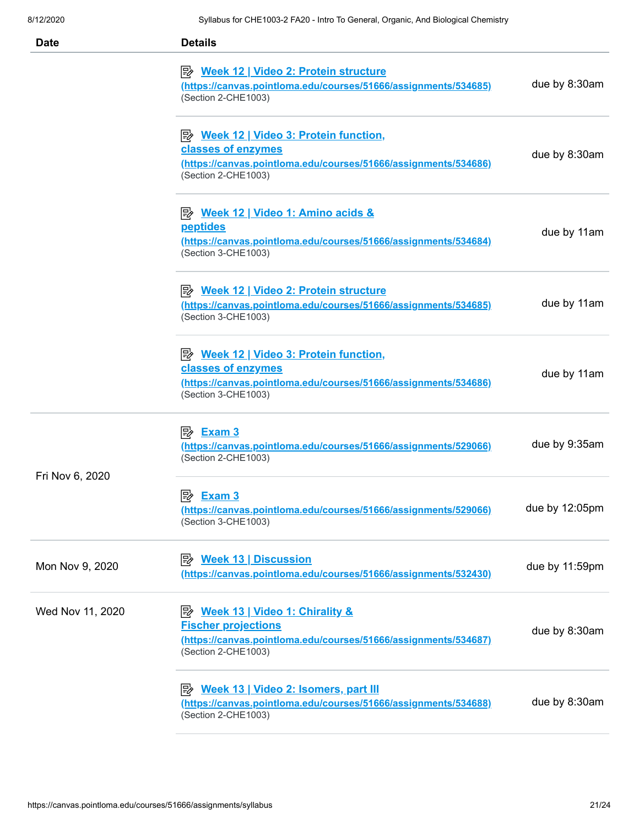| <b>Date</b>      | <b>Details</b>                                                                                                                                                        |                |
|------------------|-----------------------------------------------------------------------------------------------------------------------------------------------------------------------|----------------|
|                  | <b>E</b> <u>Week 12   Video 2: Protein structure</u><br>(https://canvas.pointloma.edu/courses/51666/assignments/534685)<br>(Section 2-CHE1003)                        | due by 8:30am  |
|                  | <b>E</b> <u>Week 12   Video 3: Protein function</u> ,<br>classes of enzymes<br>(https://canvas.pointloma.edu/courses/51666/assignments/534686)<br>(Section 2-CHE1003) | due by 8:30am  |
|                  | P <sup>2</sup> Week 12   Video 1: Amino acids &<br>peptides<br>(https://canvas.pointloma.edu/courses/51666/assignments/534684)<br>(Section 3-CHE1003)                 | due by 11am    |
|                  | P <sup>y</sup> Week 12   Video 2: Protein structure<br>(https://canvas.pointloma.edu/courses/51666/assignments/534685)<br>(Section 3-CHE1003)                         | due by 11am    |
|                  | <b>E</b> <u>Week 12   Video 3: Protein function</u> ,<br>classes of enzymes<br>(https://canvas.pointloma.edu/courses/51666/assignments/534686)<br>(Section 3-CHE1003) | due by 11am    |
|                  | (https://canvas.pointloma.edu/courses/51666/assignments/529066)<br>(Section 2-CHE1003)                                                                                | due by 9:35am  |
| Fri Nov 6, 2020  | 图 Exam 3<br>(https://canvas.pointloma.edu/courses/51666/assignments/529066)<br>(Section 3-CHE1003)                                                                    | due by 12:05pm |
| Mon Nov 9, 2020  | (https://canvas.pointloma.edu/courses/51666/assignments/532430)                                                                                                       | due by 11:59pm |
| Wed Nov 11, 2020 | <b>Fischer projections</b><br>(https://canvas.pointloma.edu/courses/51666/assignments/534687)<br>(Section 2-CHE1003)                                                  | due by 8:30am  |
|                  | P <sup>2</sup> Week 13   Video 2: Isomers, part III<br>(https://canvas.pointloma.edu/courses/51666/assignments/534688)<br>(Section 2-CHE1003)                         | due by 8:30am  |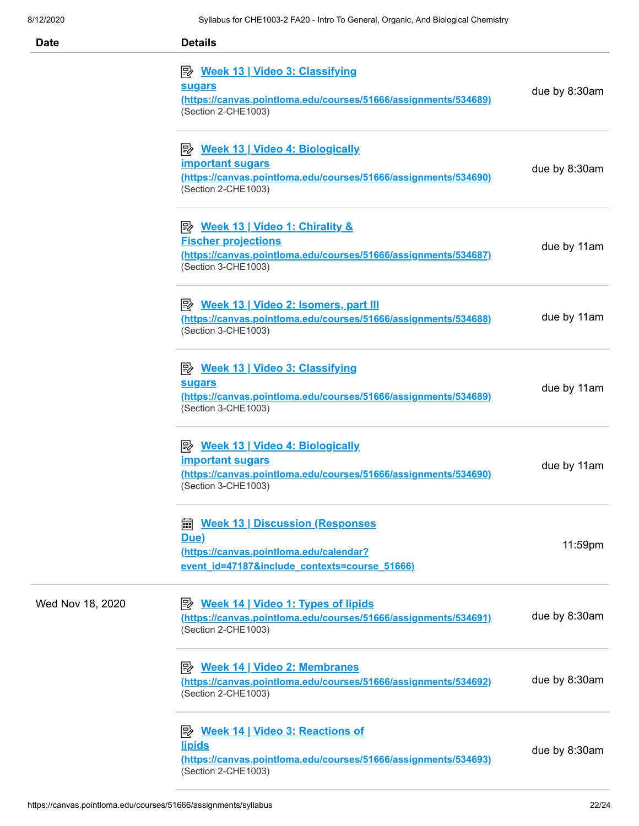| 8/12/2020        | Syliabus for CHE1003-2 FA20 - Intro To General, Organic, And Bloiogical Chemistry                                                                                   |               |
|------------------|---------------------------------------------------------------------------------------------------------------------------------------------------------------------|---------------|
| <b>Date</b>      | <b>Details</b>                                                                                                                                                      |               |
|                  | P <sup>2</sup> Week 13   Video 3: Classifying<br><b>sugars</b><br>(https://canvas.pointloma.edu/courses/51666/assignments/534689)<br>(Section 2-CHE1003)            | due by 8:30am |
|                  | P <sup>2</sup> Week 13   Video 4: Biologically<br><b>important sugars</b><br>(https://canvas.pointloma.edu/courses/51666/assignments/534690)<br>(Section 2-CHE1003) | due by 8:30am |
|                  | <b>B</b> Week 13   Video 1: Chirality &<br><b>Fischer projections</b><br>(https://canvas.pointloma.edu/courses/51666/assignments/534687)<br>(Section 3-CHE1003)     | due by 11am   |
|                  | P Week 13   Video 2: Isomers, part III<br>(https://canvas.pointloma.edu/courses/51666/assignments/534688)<br>(Section 3-CHE1003)                                    | due by 11am   |
|                  | <b>E</b> Week 13   Video 3: Classifying<br><b>sugars</b><br>(https://canvas.pointloma.edu/courses/51666/assignments/534689)<br>(Section 3-CHE1003)                  | due by 11am   |
|                  | P <sup>2</sup> Week 13   Video 4: Biologically<br><b>important sugars</b><br>(https://canvas.pointloma.edu/courses/51666/assignments/534690)<br>(Section 3-CHE1003) | due by 11am   |
|                  | <b>Week 13   Discussion (Responses)</b><br>翩<br>Due)<br>(https://canvas.pointloma.edu/calendar?<br>event id=47187&include contexts=course 51666)                    | 11:59pm       |
| Wed Nov 18, 2020 | <b>Week 14   Video 1: Types of lipids</b><br>零<br>(https://canvas.pointloma.edu/courses/51666/assignments/534691)<br>(Section 2-CHE1003)                            | due by 8:30am |
|                  | <b>Week 14   Video 2: Membranes</b><br> ₩<br>(https://canvas.pointloma.edu/courses/51666/assignments/534692)<br>(Section 2-CHE1003)                                 | due by 8:30am |
|                  | Week 14   Video 3: Reactions of<br>彫<br><u>lipids</u><br>(https://canvas.pointloma.edu/courses/51666/assignments/534693)<br>(Section 2-CHE1003)                     | due by 8:30am |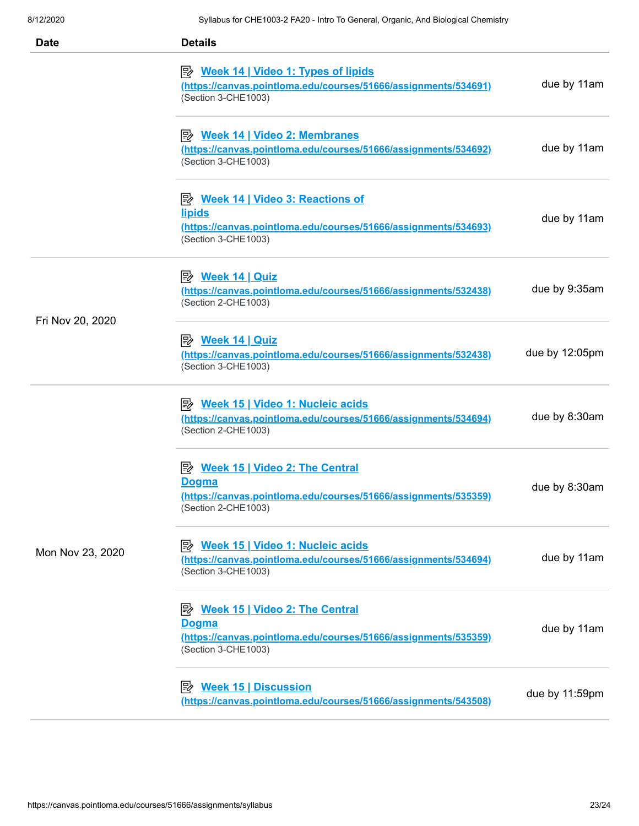| <b>Date</b>      | <b>Details</b>                                                                                                                                             |                |
|------------------|------------------------------------------------------------------------------------------------------------------------------------------------------------|----------------|
|                  | <b>E</b> <u>Week 14   Video 1: Types of lipids</u><br>(https://canvas.pointloma.edu/courses/51666/assignments/534691)<br>(Section 3-CHE1003)               | due by 11am    |
|                  | <b>B</b> Week 14   Video 2: Membranes<br>(https://canvas.pointloma.edu/courses/51666/assignments/534692)<br>(Section 3-CHE1003)                            | due by 11am    |
|                  | <b>E</b> <u>Week 14   Video 3: Reactions of</u><br><u>lipids</u><br>(https://canvas.pointloma.edu/courses/51666/assignments/534693)<br>(Section 3-CHE1003) | due by 11am    |
|                  | <b>Week 14   Quiz</b><br>眕<br>(https://canvas.pointloma.edu/courses/51666/assignments/532438)<br>(Section 2-CHE1003)                                       | due by 9:35am  |
| Fri Nov 20, 2020 | <u>Week 14   Quiz</u><br>(https://canvas.pointloma.edu/courses/51666/assignments/532438)<br>(Section 3-CHE1003)                                            | due by 12:05pm |
| Mon Nov 23, 2020 | P <sup>b</sup> Week 15   Video 1: Nucleic acids<br>(https://canvas.pointloma.edu/courses/51666/assignments/534694)<br>(Section 2-CHE1003)                  | due by 8:30am  |
|                  | P <sup>y</sup> Week 15   Video 2: The Central<br><u>Dogma</u><br>(https://canvas.pointloma.edu/courses/51666/assignments/535359)<br>(Section 2-CHE1003)    | due by 8:30am  |
|                  | <b>B</b> Week 15   Video 1: Nucleic acids<br>(https://canvas.pointloma.edu/courses/51666/assignments/534694)<br>(Section 3-CHE1003)                        | due by 11am    |
|                  | <b>Week 15   Video 2: The Central</b><br>י⊯<br><b>Dogma</b><br>(https://canvas.pointloma.edu/courses/51666/assignments/535359)<br>(Section 3-CHE1003)      | due by 11am    |
|                  | (https://canvas.pointloma.edu/courses/51666/assignments/543508)                                                                                            | due by 11:59pm |